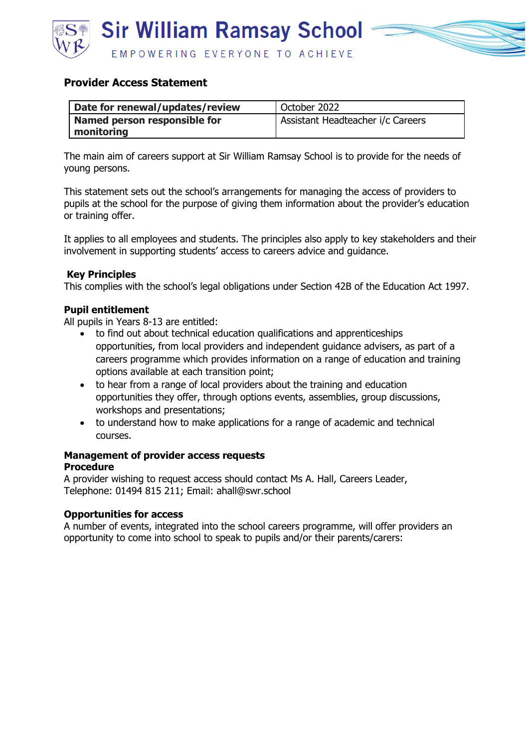

### **Provider Access Statement**

| Date for renewal/updates/review | October 2022                      |
|---------------------------------|-----------------------------------|
| Named person responsible for    | Assistant Headteacher i/c Careers |
| monitoring                      |                                   |

The main aim of careers support at Sir William Ramsay School is to provide for the needs of young persons.

This statement sets out the school's arrangements for managing the access of providers to pupils at the school for the purpose of giving them information about the provider's education or training offer.

It applies to all employees and students. The principles also apply to key stakeholders and their involvement in supporting students' access to careers advice and guidance.

### **Key Principles**

This complies with the school's legal obligations under Section 42B of the Education Act 1997.

### **Pupil entitlement**

All pupils in Years 8-13 are entitled:

- to find out about technical education qualifications and apprenticeships opportunities, from local providers and independent guidance advisers, as part of a careers programme which provides information on a range of education and training options available at each transition point;
- to hear from a range of local providers about the training and education opportunities they offer, through options events, assemblies, group discussions, workshops and presentations;
- to understand how to make applications for a range of academic and technical courses.

#### **Management of provider access requests Procedure**

A provider wishing to request access should contact Ms A. Hall, Careers Leader, Telephone: 01494 815 211; Email: ahall@swr.school

### **Opportunities for access**

A number of events, integrated into the school careers programme, will offer providers an opportunity to come into school to speak to pupils and/or their parents/carers: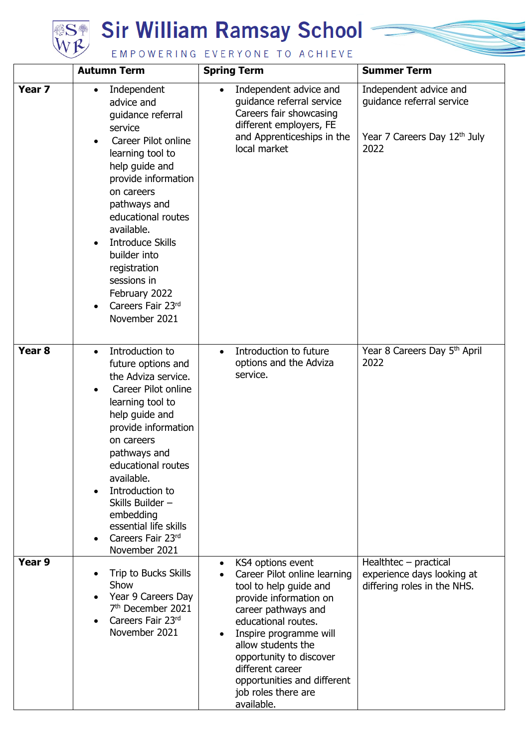

## **SH** Sir William Ramsay School



|                   | <b>Autumn Term</b>                                                                                                                                                                                                                                                                                                                                                                                   | <b>Spring Term</b>                                                                                                                                                                                                                                                                                                                               | <b>Summer Term</b>                                                                          |
|-------------------|------------------------------------------------------------------------------------------------------------------------------------------------------------------------------------------------------------------------------------------------------------------------------------------------------------------------------------------------------------------------------------------------------|--------------------------------------------------------------------------------------------------------------------------------------------------------------------------------------------------------------------------------------------------------------------------------------------------------------------------------------------------|---------------------------------------------------------------------------------------------|
| Year <sub>7</sub> | Independent<br>$\bullet$<br>advice and<br>guidance referral<br>service<br>Career Pilot online<br>$\bullet$<br>learning tool to<br>help guide and<br>provide information<br>on careers<br>pathways and<br>educational routes<br>available.<br><b>Introduce Skills</b><br>$\bullet$<br>builder into<br>registration<br>sessions in<br>February 2022<br>Careers Fair 23rd<br>$\bullet$<br>November 2021 | Independent advice and<br>$\bullet$<br>guidance referral service<br>Careers fair showcasing<br>different employers, FE<br>and Apprenticeships in the<br>local market                                                                                                                                                                             | Independent advice and<br>guidance referral service<br>Year 7 Careers Day 12th July<br>2022 |
| Year <sub>8</sub> | Introduction to<br>$\bullet$<br>future options and<br>the Adviza service.<br>Career Pilot online<br>$\bullet$<br>learning tool to<br>help guide and<br>provide information<br>on careers<br>pathways and<br>educational routes<br>available.<br>Introduction to<br>$\bullet$<br>Skills Builder -<br>embedding<br>essential life skills<br>Careers Fair 23rd<br>November 2021                         | Introduction to future<br>$\bullet$<br>options and the Adviza<br>service.                                                                                                                                                                                                                                                                        | Year 8 Careers Day 5th April<br>2022                                                        |
| Year 9            | Trip to Bucks Skills<br>$\bullet$<br>Show<br>Year 9 Careers Day<br>7 <sup>th</sup> December 2021<br>Careers Fair 23rd<br>$\bullet$<br>November 2021                                                                                                                                                                                                                                                  | KS4 options event<br>$\bullet$<br>Career Pilot online learning<br>tool to help guide and<br>provide information on<br>career pathways and<br>educational routes.<br>Inspire programme will<br>$\bullet$<br>allow students the<br>opportunity to discover<br>different career<br>opportunities and different<br>job roles there are<br>available. | $Healthtec - practical$<br>experience days looking at<br>differing roles in the NHS.        |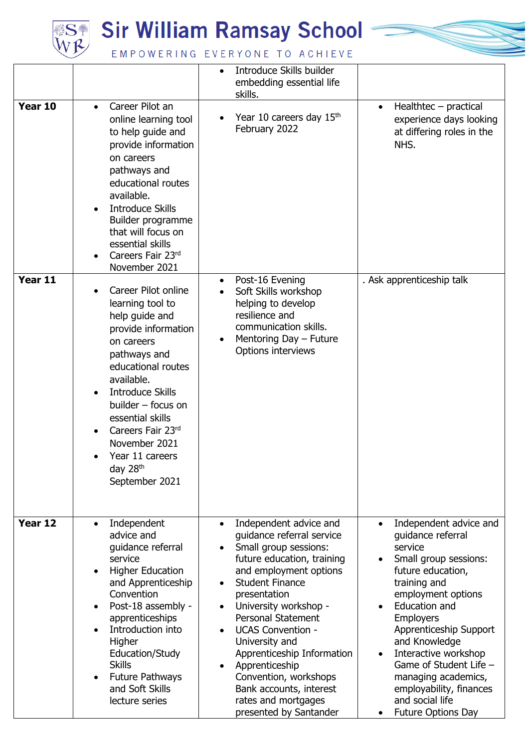

### **Sir William Ramsay School**



EMPOWERING EVERYONE TO ACHIEVE

|         |                                                                                                                                                                                                                                                                                                                                                                      | Introduce Skills builder<br>embedding essential life<br>skills.                                                                                                                                                                                                                                                                                                                                                                                                                      |                                                                                                                                                                                                                                                                                                                                                                                                          |
|---------|----------------------------------------------------------------------------------------------------------------------------------------------------------------------------------------------------------------------------------------------------------------------------------------------------------------------------------------------------------------------|--------------------------------------------------------------------------------------------------------------------------------------------------------------------------------------------------------------------------------------------------------------------------------------------------------------------------------------------------------------------------------------------------------------------------------------------------------------------------------------|----------------------------------------------------------------------------------------------------------------------------------------------------------------------------------------------------------------------------------------------------------------------------------------------------------------------------------------------------------------------------------------------------------|
| Year 10 | Career Pilot an<br>$\bullet$<br>online learning tool<br>to help guide and<br>provide information<br>on careers<br>pathways and<br>educational routes<br>available.<br><b>Introduce Skills</b><br>$\bullet$<br>Builder programme<br>that will focus on<br>essential skills<br>Careers Fair 23rd<br>$\bullet$<br>November 2021                                         | Year 10 careers day 15 <sup>th</sup><br>February 2022                                                                                                                                                                                                                                                                                                                                                                                                                                | $Healthtec - practical$<br>$\bullet$<br>experience days looking<br>at differing roles in the<br>NHS.                                                                                                                                                                                                                                                                                                     |
| Year 11 | Career Pilot online<br>$\bullet$<br>learning tool to<br>help guide and<br>provide information<br>on careers<br>pathways and<br>educational routes<br>available.<br><b>Introduce Skills</b><br>$\bullet$<br>builder - focus on<br>essential skills<br>Careers Fair 23rd<br>$\bullet$<br>November 2021<br>Year 11 careers<br>day 28 <sup>th</sup><br>September 2021    | Post-16 Evening<br>Soft Skills workshop<br>helping to develop<br>resilience and<br>communication skills.<br>Mentoring Day - Future<br>Options interviews                                                                                                                                                                                                                                                                                                                             | . Ask apprenticeship talk                                                                                                                                                                                                                                                                                                                                                                                |
| Year 12 | Independent<br>$\bullet$<br>advice and<br>guidance referral<br>service<br><b>Higher Education</b><br>$\bullet$<br>and Apprenticeship<br>Convention<br>Post-18 assembly -<br>$\bullet$<br>apprenticeships<br>Introduction into<br>$\bullet$<br>Higher<br>Education/Study<br><b>Skills</b><br><b>Future Pathways</b><br>$\bullet$<br>and Soft Skills<br>lecture series | Independent advice and<br>$\bullet$<br>guidance referral service<br>Small group sessions:<br>future education, training<br>and employment options<br><b>Student Finance</b><br>$\bullet$<br>presentation<br>University workshop -<br>$\bullet$<br>Personal Statement<br><b>UCAS Convention -</b><br>$\bullet$<br>University and<br>Apprenticeship Information<br>Apprenticeship<br>Convention, workshops<br>Bank accounts, interest<br>rates and mortgages<br>presented by Santander | Independent advice and<br>$\bullet$<br>quidance referral<br>service<br>Small group sessions:<br>$\bullet$<br>future education,<br>training and<br>employment options<br>Education and<br><b>Employers</b><br>Apprenticeship Support<br>and Knowledge<br>Interactive workshop<br>Game of Student Life -<br>managing academics,<br>employability, finances<br>and social life<br><b>Future Options Day</b> |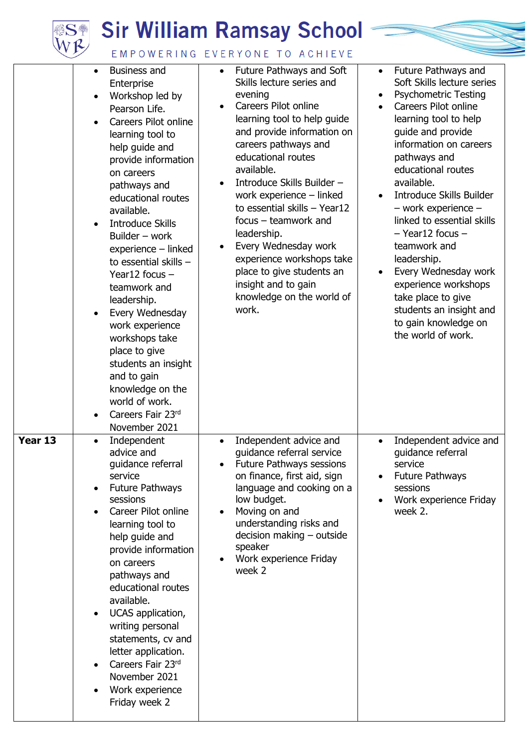# **SE Sir William Ramsay School**



### EMPOWERING EVERYONE TO ACHIEVE

|         | $\bullet$<br>$\bullet$<br>$\bullet$<br>$\bullet$<br>$\bullet$<br>$\bullet$ | Business and<br>Enterprise<br>Workshop led by<br>Pearson Life.<br>Careers Pilot online<br>learning tool to<br>help guide and<br>provide information<br>on careers<br>pathways and<br>educational routes<br>available.<br><b>Introduce Skills</b><br>Builder - work<br>$experience - linked$<br>to essential skills -<br>Year12 focus $-$<br>teamwork and<br>leadership.<br>Every Wednesday<br>work experience<br>workshops take<br>place to give<br>students an insight<br>and to gain<br>knowledge on the<br>world of work.<br>Careers Fair 23rd<br>November 2021 | $\bullet$ | Future Pathways and Soft<br>Skills lecture series and<br>evening<br>Careers Pilot online<br>learning tool to help guide<br>and provide information on<br>careers pathways and<br>educational routes<br>available.<br>Introduce Skills Builder -<br>work experience - linked<br>to essential skills $-$ Year12<br>$focus - teamwork$ and<br>leadership.<br>Every Wednesday work<br>experience workshops take<br>place to give students an<br>insight and to gain<br>knowledge on the world of<br>work. | $\bullet$<br>$\bullet$<br>$\bullet$<br>$\bullet$<br>$\bullet$ | Future Pathways and<br>Soft Skills lecture series<br><b>Psychometric Testing</b><br>Careers Pilot online<br>learning tool to help<br>guide and provide<br>information on careers<br>pathways and<br>educational routes<br>available.<br><b>Introduce Skills Builder</b><br>$-$ work experience $-$<br>linked to essential skills<br>$-$ Year12 focus $-$<br>teamwork and<br>leadership.<br>Every Wednesday work<br>experience workshops<br>take place to give<br>students an insight and<br>to gain knowledge on<br>the world of work. |
|---------|----------------------------------------------------------------------------|--------------------------------------------------------------------------------------------------------------------------------------------------------------------------------------------------------------------------------------------------------------------------------------------------------------------------------------------------------------------------------------------------------------------------------------------------------------------------------------------------------------------------------------------------------------------|-----------|-------------------------------------------------------------------------------------------------------------------------------------------------------------------------------------------------------------------------------------------------------------------------------------------------------------------------------------------------------------------------------------------------------------------------------------------------------------------------------------------------------|---------------------------------------------------------------|----------------------------------------------------------------------------------------------------------------------------------------------------------------------------------------------------------------------------------------------------------------------------------------------------------------------------------------------------------------------------------------------------------------------------------------------------------------------------------------------------------------------------------------|
| Year 13 | $\bullet$<br>$\bullet$<br>$\bullet$<br>$\bullet$<br>$\bullet$              | Independent<br>advice and<br>guidance referral<br>service<br><b>Future Pathways</b><br>sessions<br>Career Pilot online<br>learning tool to<br>help guide and<br>provide information<br>on careers<br>pathways and<br>educational routes<br>available.<br>UCAS application,<br>writing personal<br>statements, cv and<br>letter application.<br>Careers Fair 23rd<br>November 2021<br>Work experience<br>Friday week 2                                                                                                                                              |           | Independent advice and<br>guidance referral service<br><b>Future Pathways sessions</b><br>on finance, first aid, sign<br>language and cooking on a<br>low budget.<br>Moving on and<br>understanding risks and<br>$decision$ making $-$ outside<br>speaker<br>Work experience Friday<br>week 2                                                                                                                                                                                                         | $\bullet$                                                     | Independent advice and<br>quidance referral<br>service<br><b>Future Pathways</b><br>sessions<br>Work experience Friday<br>week 2.                                                                                                                                                                                                                                                                                                                                                                                                      |